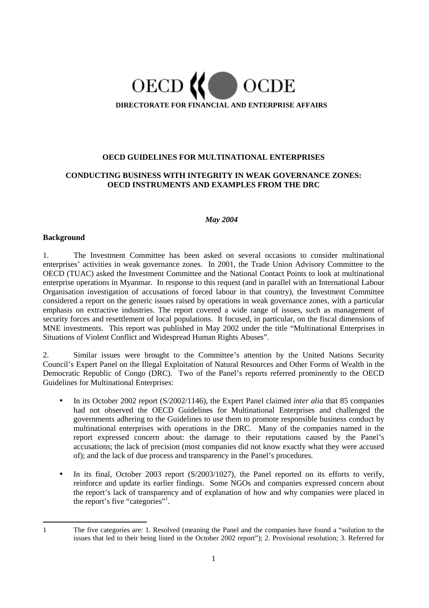

### **OECD GUIDELINES FOR MULTINATIONAL ENTERPRISES**

### **CONDUCTING BUSINESS WITH INTEGRITY IN WEAK GOVERNANCE ZONES: OECD INSTRUMENTS AND EXAMPLES FROM THE DRC**

#### *May 2004*

#### **Background**

1. The Investment Committee has been asked on several occasions to consider multinational enterprises' activities in weak governance zones. In 2001, the Trade Union Advisory Committee to the OECD (TUAC) asked the Investment Committee and the National Contact Points to look at multinational enterprise operations in Myanmar. In response to this request (and in parallel with an International Labour Organisation investigation of accusations of forced labour in that country), the Investment Committee considered a report on the generic issues raised by operations in weak governance zones, with a particular emphasis on extractive industries. The report covered a wide range of issues, such as management of security forces and resettlement of local populations. It focused, in particular, on the fiscal dimensions of MNE investments. This report was published in May 2002 under the title "Multinational Enterprises in Situations of Violent Conflict and Widespread Human Rights Abuses".

2. Similar issues were brought to the Committee's attention by the United Nations Security Council's Expert Panel on the Illegal Exploitation of Natural Resources and Other Forms of Wealth in the Democratic Republic of Congo (DRC). Two of the Panel's reports referred prominently to the OECD Guidelines for Multinational Enterprises:

- In its October 2002 report (S/2002/1146), the Expert Panel claimed *inter alia* that 85 companies had not observed the OECD Guidelines for Multinational Enterprises and challenged the governments adhering to the Guidelines to use them to promote responsible business conduct by multinational enterprises with operations in the DRC. Many of the companies named in the report expressed concern about: the damage to their reputations caused by the Panel's accusations; the lack of precision (most companies did not know exactly what they were accused of); and the lack of due process and transparency in the Panel's procedures.
- In its final, October 2003 report (S/2003/1027), the Panel reported on its efforts to verify, reinforce and update its earlier findings. Some NGOs and companies expressed concern about the report's lack of transparency and of explanation of how and why companies were placed in the report's five "categories"<sup>1</sup>.

<sup>1</sup> The five categories are: 1. Resolved (meaning the Panel and the companies have found a "solution to the issues that led to their being listed in the October 2002 report"); 2. Provisional resolution; 3. Referred for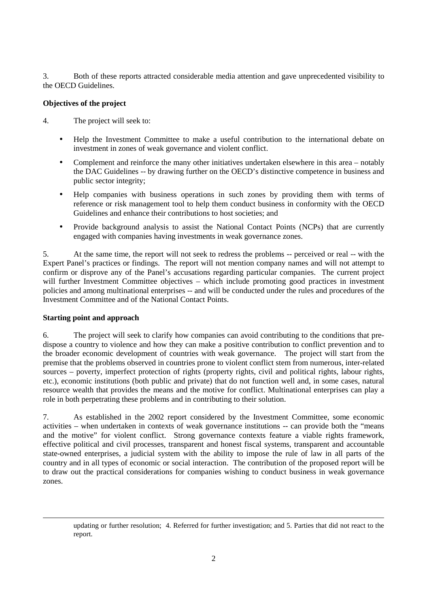3. Both of these reports attracted considerable media attention and gave unprecedented visibility to the OECD Guidelines.

## **Objectives of the project**

4. The project will seek to:

- Help the Investment Committee to make a useful contribution to the international debate on investment in zones of weak governance and violent conflict.
- Complement and reinforce the many other initiatives undertaken elsewhere in this area notably the DAC Guidelines -- by drawing further on the OECD's distinctive competence in business and public sector integrity;
- Help companies with business operations in such zones by providing them with terms of reference or risk management tool to help them conduct business in conformity with the OECD Guidelines and enhance their contributions to host societies; and
- Provide background analysis to assist the National Contact Points (NCPs) that are currently engaged with companies having investments in weak governance zones.

5. At the same time, the report will not seek to redress the problems -- perceived or real -- with the Expert Panel's practices or findings. The report will not mention company names and will not attempt to confirm or disprove any of the Panel's accusations regarding particular companies. The current project will further Investment Committee objectives – which include promoting good practices in investment policies and among multinational enterprises -- and will be conducted under the rules and procedures of the Investment Committee and of the National Contact Points.

### **Starting point and approach**

1

6. The project will seek to clarify how companies can avoid contributing to the conditions that predispose a country to violence and how they can make a positive contribution to conflict prevention and to the broader economic development of countries with weak governance. The project will start from the premise that the problems observed in countries prone to violent conflict stem from numerous, inter-related sources – poverty, imperfect protection of rights (property rights, civil and political rights, labour rights, etc.), economic institutions (both public and private) that do not function well and, in some cases, natural resource wealth that provides the means and the motive for conflict. Multinational enterprises can play a role in both perpetrating these problems and in contributing to their solution.

7. As established in the 2002 report considered by the Investment Committee, some economic activities – when undertaken in contexts of weak governance institutions -- can provide both the "means and the motive" for violent conflict. Strong governance contexts feature a viable rights framework, effective political and civil processes, transparent and honest fiscal systems, transparent and accountable state-owned enterprises, a judicial system with the ability to impose the rule of law in all parts of the country and in all types of economic or social interaction. The contribution of the proposed report will be to draw out the practical considerations for companies wishing to conduct business in weak governance zones.

updating or further resolution; 4. Referred for further investigation; and 5. Parties that did not react to the report.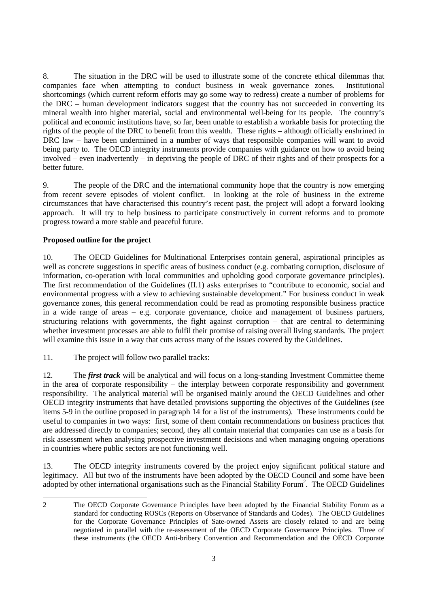8. The situation in the DRC will be used to illustrate some of the concrete ethical dilemmas that companies face when attempting to conduct business in weak governance zones. Institutional shortcomings (which current reform efforts may go some way to redress) create a number of problems for the DRC – human development indicators suggest that the country has not succeeded in converting its mineral wealth into higher material, social and environmental well-being for its people. The country's political and economic institutions have, so far, been unable to establish a workable basis for protecting the rights of the people of the DRC to benefit from this wealth. These rights – although officially enshrined in DRC law – have been undermined in a number of ways that responsible companies will want to avoid being party to. The OECD integrity instruments provide companies with guidance on how to avoid being involved – even inadvertently – in depriving the people of DRC of their rights and of their prospects for a better future.

9. The people of the DRC and the international community hope that the country is now emerging from recent severe episodes of violent conflict. In looking at the role of business in the extreme circumstances that have characterised this country's recent past, the project will adopt a forward looking approach. It will try to help business to participate constructively in current reforms and to promote progress toward a more stable and peaceful future.

# **Proposed outline for the project**

 $\overline{a}$ 

10. The OECD Guidelines for Multinational Enterprises contain general, aspirational principles as well as concrete suggestions in specific areas of business conduct (e.g. combating corruption, disclosure of information, co-operation with local communities and upholding good corporate governance principles). The first recommendation of the Guidelines (II.1) asks enterprises to "contribute to economic, social and environmental progress with a view to achieving sustainable development." For business conduct in weak governance zones, this general recommendation could be read as promoting responsible business practice in a wide range of areas – e.g. corporate governance, choice and management of business partners, structuring relations with governments, the fight against corruption – that are central to determining whether investment processes are able to fulfil their promise of raising overall living standards. The project will examine this issue in a way that cuts across many of the issues covered by the Guidelines.

11. The project will follow two parallel tracks:

12. The *first track* will be analytical and will focus on a long-standing Investment Committee theme in the area of corporate responsibility – the interplay between corporate responsibility and government responsibility. The analytical material will be organised mainly around the OECD Guidelines and other OECD integrity instruments that have detailed provisions supporting the objectives of the Guidelines (see items 5-9 in the outline proposed in paragraph 14 for a list of the instruments). These instruments could be useful to companies in two ways: first, some of them contain recommendations on business practices that are addressed directly to companies; second, they all contain material that companies can use as a basis for risk assessment when analysing prospective investment decisions and when managing ongoing operations in countries where public sectors are not functioning well.

13. The OECD integrity instruments covered by the project enjoy significant political stature and legitimacy. All but two of the instruments have been adopted by the OECD Council and some have been adopted by other international organisations such as the Financial Stability Forum<sup>2</sup>. The OECD Guidelines

<sup>2</sup> The OECD Corporate Governance Principles have been adopted by the Financial Stability Forum as a standard for conducting ROSCs (Reports on Observance of Standards and Codes). The OECD Guidelines for the Corporate Governance Principles of Sate-owned Assets are closely related to and are being negotiated in parallel with the re-assessment of the OECD Corporate Governance Principles. Three of these instruments (the OECD Anti-bribery Convention and Recommendation and the OECD Corporate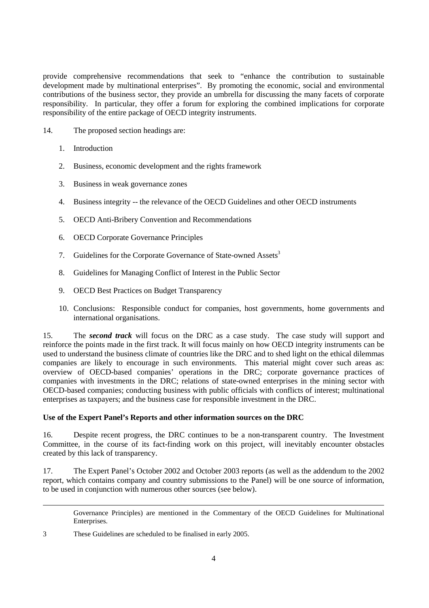provide comprehensive recommendations that seek to "enhance the contribution to sustainable development made by multinational enterprises". By promoting the economic, social and environmental contributions of the business sector, they provide an umbrella for discussing the many facets of corporate responsibility. In particular, they offer a forum for exploring the combined implications for corporate responsibility of the entire package of OECD integrity instruments.

- 14. The proposed section headings are:
	- 1. Introduction
	- 2. Business, economic development and the rights framework
	- 3. Business in weak governance zones
	- 4. Business integrity -- the relevance of the OECD Guidelines and other OECD instruments
	- 5. OECD Anti-Bribery Convention and Recommendations
	- 6. OECD Corporate Governance Principles
	- 7. Guidelines for the Corporate Governance of State-owned Assets<sup>3</sup>
	- 8. Guidelines for Managing Conflict of Interest in the Public Sector
	- 9. OECD Best Practices on Budget Transparency
	- 10. Conclusions: Responsible conduct for companies, host governments, home governments and international organisations.

15. The *second track* will focus on the DRC as a case study. The case study will support and reinforce the points made in the first track. It will focus mainly on how OECD integrity instruments can be used to understand the business climate of countries like the DRC and to shed light on the ethical dilemmas companies are likely to encourage in such environments. This material might cover such areas as: overview of OECD-based companies' operations in the DRC; corporate governance practices of companies with investments in the DRC; relations of state-owned enterprises in the mining sector with OECD-based companies; conducting business with public officials with conflicts of interest; multinational enterprises as taxpayers; and the business case for responsible investment in the DRC.

### **Use of the Expert Panel's Reports and other information sources on the DRC**

16. Despite recent progress, the DRC continues to be a non-transparent country. The Investment Committee, in the course of its fact-finding work on this project, will inevitably encounter obstacles created by this lack of transparency.

17. The Expert Panel's October 2002 and October 2003 reports (as well as the addendum to the 2002 report, which contains company and country submissions to the Panel) will be one source of information, to be used in conjunction with numerous other sources (see below).

Governance Principles) are mentioned in the Commentary of the OECD Guidelines for Multinational Enterprises.

3 These Guidelines are scheduled to be finalised in early 2005.

-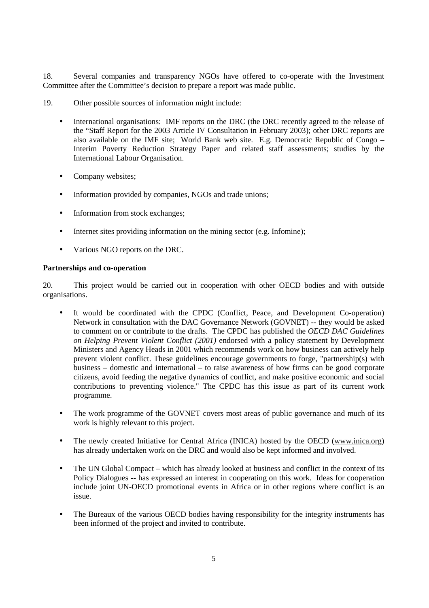18. Several companies and transparency NGOs have offered to co-operate with the Investment Committee after the Committee's decision to prepare a report was made public.

- 19. Other possible sources of information might include:
	- International organisations: IMF reports on the DRC (the DRC recently agreed to the release of the "Staff Report for the 2003 Article IV Consultation in February 2003); other DRC reports are also available on the IMF site; World Bank web site. E.g. Democratic Republic of Congo – Interim Poverty Reduction Strategy Paper and related staff assessments; studies by the International Labour Organisation.
	- Company websites;
	- Information provided by companies, NGOs and trade unions;
	- Information from stock exchanges:
	- Internet sites providing information on the mining sector (e.g. Infomine);
	- Various NGO reports on the DRC.

#### **Partnerships and co-operation**

20. This project would be carried out in cooperation with other OECD bodies and with outside organisations.

- It would be coordinated with the CPDC (Conflict, Peace, and Development Co-operation) Network in consultation with the DAC Governance Network (GOVNET) -- they would be asked to comment on or contribute to the drafts. The CPDC has published the *OECD DAC Guidelines on Helping Prevent Violent Conflict (2001)* endorsed with a policy statement by Development Ministers and Agency Heads in 2001 which recommends work on how business can actively help prevent violent conflict. These guidelines encourage governments to forge, "partnership(s) with business – domestic and international – to raise awareness of how firms can be good corporate citizens, avoid feeding the negative dynamics of conflict, and make positive economic and social contributions to preventing violence." The CPDC has this issue as part of its current work programme.
- The work programme of the GOVNET covers most areas of public governance and much of its work is highly relevant to this project.
- The newly created Initiative for Central Africa (INICA) hosted by the OECD (www.inica.org) has already undertaken work on the DRC and would also be kept informed and involved.
- The UN Global Compact which has already looked at business and conflict in the context of its Policy Dialogues -- has expressed an interest in cooperating on this work. Ideas for cooperation include joint UN-OECD promotional events in Africa or in other regions where conflict is an issue.
- The Bureaux of the various OECD bodies having responsibility for the integrity instruments has been informed of the project and invited to contribute.